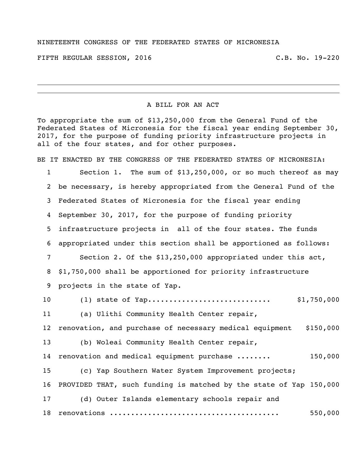## NINETEENTH CONGRESS OF THE FEDERATED STATES OF MICRONESIA

FIFTH REGULAR SESSION, 2016 C.B. No. 19-220

## A BILL FOR AN ACT

To appropriate the sum of \$13,250,000 from the General Fund of the Federated States of Micronesia for the fiscal year ending September 30, 2017, for the purpose of funding priority infrastructure projects in all of the four states, and for other purposes.

BE IT ENACTED BY THE CONGRESS OF THE FEDERATED STATES OF MICRONESIA: Section 1. The sum of \$13,250,000, or so much thereof as may be necessary, is hereby appropriated from the General Fund of the Federated States of Micronesia for the fiscal year ending September 30, 2017, for the purpose of funding priority infrastructure projects in all of the four states. The funds appropriated under this section shall be apportioned as follows: Section 2. Of the \$13,250,000 appropriated under this act, \$1,750,000 shall be apportioned for priority infrastructure projects in the state of Yap. (1) state of Yap............................. \$1,750,000 (a) Ulithi Community Health Center repair, 12 renovation, and purchase of necessary medical equipment \$150,000 (b) Woleai Community Health Center repair, 14 renovation and medical equipment purchase ....... 150,000 (c) Yap Southern Water System Improvement projects; PROVIDED THAT, such funding is matched by the state of Yap 150,000 (d) Outer Islands elementary schools repair and renovations ........................................ 550,000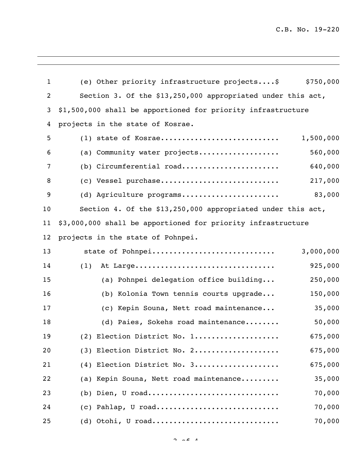C.B. No. 19-220

| $\mathbf{1}$      | (e) Other priority infrastructure projects\$                 | \$750,000 |
|-------------------|--------------------------------------------------------------|-----------|
| $\overline{2}$    | Section 3. Of the \$13,250,000 appropriated under this act,  |           |
| 3                 | \$1,500,000 shall be apportioned for priority infrastructure |           |
| 4                 | projects in the state of Kosrae.                             |           |
| 5                 | $(1)$ state of Kosrae                                        | 1,500,000 |
| 6                 | (a) Community water projects                                 | 560,000   |
| 7                 | (b) Circumferential road                                     | 640,000   |
| 8                 | (c) Vessel purchase                                          | 217,000   |
| 9                 | (d) Agriculture programs                                     | 83,000    |
| 10                | Section 4. Of the \$13,250,000 appropriated under this act,  |           |
| 11                | \$3,000,000 shall be apportioned for priority infrastructure |           |
| $12 \overline{ }$ | projects in the state of Pohnpei.                            |           |
| 13                | state of Pohnpei                                             | 3,000,000 |
| 14                | (1)<br>At Large                                              | 925,000   |
| 15                | (a) Pohnpei delegation office building                       | 250,000   |
| 16                | (b) Kolonia Town tennis courts upgrade                       | 150,000   |
| 17                | (c) Kepin Souna, Nett road maintenance                       | 35,000    |
| 18                | (d) Paies, Sokehs road maintenance                           | 50,000    |
| 19                | (2) Election District No. 1                                  | 675,000   |
| 20                | (3) Election District No. 2                                  | 675,000   |
| 21                | (4) Election District No. 3                                  | 675,000   |
| 22                | (a) Kepin Souna, Nett road maintenance                       | 35,000    |
| 23                | $(b)$ Dien, U road                                           | 70,000    |
| 24                | (c) Pahlap, U road                                           | 70,000    |
| 25                | $(d)$ Otohi, U road                                          | 70,000    |

 $2 \times 2 = 4$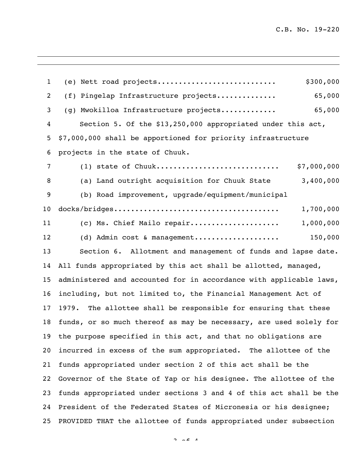(e) Nett road projects............................ \$300,000 (f) Pingelap Infrastructure projects.............. 65,000 (g) Mwokilloa Infrastructure projects............. 65,000 Section 5. Of the \$13,250,000 appropriated under this act, \$7,000,000 shall be apportioned for priority infrastructure projects in the state of Chuuk. (1) state of Chuuk............................. \$7,000,000 (a) Land outright acquisition for Chuuk State 3,400,000 (b) Road improvement, upgrade/equipment/municipal docks/bridges....................................... 1,700,000 (c) Ms. Chief Mailo repair..................... 1,000,000 (d) Admin cost & management.................... 150,000 Section 6. Allotment and management of funds and lapse date. All funds appropriated by this act shall be allotted, managed, administered and accounted for in accordance with applicable laws, including, but not limited to, the Financial Management Act of 1979. The allottee shall be responsible for ensuring that these funds, or so much thereof as may be necessary, are used solely for the purpose specified in this act, and that no obligations are incurred in excess of the sum appropriated. The allottee of the funds appropriated under section 2 of this act shall be the Governor of the State of Yap or his designee. The allottee of the funds appropriated under sections 3 and 4 of this act shall be the President of the Federated States of Micronesia or his designee; PROVIDED THAT the allottee of funds appropriated under subsection